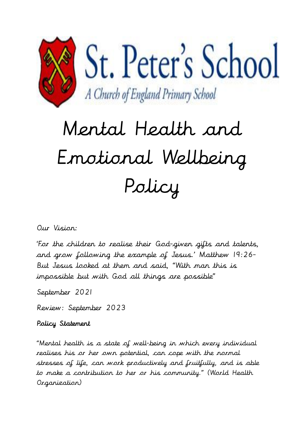

# Mental Health and Emotional Wellbeing Policy

## Our Vision:

'For the children to realise their God-given gifts and talents, and grow following the example of Jesus.' Matthew 19:26- But Jesus looked at them and said, "With man this is impossible but with God all things are possible"

September 2021

Review: September 2023

## Policy Statement

"Mental health is a state of well-being in which every individual realises his or her own potential, can cope with the normal stresses of life, can work productively and fruitfully, and is able to make a contribution to her or his community." (World Health Organization)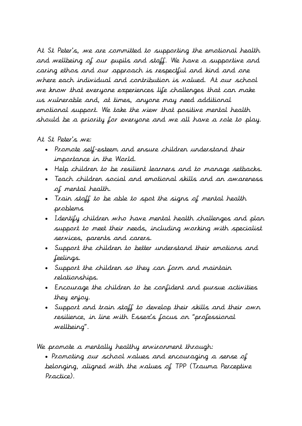At St Peter's, we are committed to supporting the emotional health and wellbeing of our pupils and staff. We have a supportive and caring ethos and our approach is respectful and kind and one where each individual and contribution is valued. At our school we know that everyone experiences life challenges that can make us vulnerable and, at times, anyone may need additional emotional support. We take the view that positive mental health should be a priority for everyone and we all have a role to play.

#### At St Peter's we:

- Promote self-esteem and ensure children understand their importance in the World.
- Help children to be resilient learners and to manage setbacks.
- Teach children social and emotional skills and an awareness of mental health.
- Train staff to be able to spot the signs of mental health problems
- Identify children who have mental health challenges and plan support to meet their needs, including working with specialist services, parents and carers.
- Support the children to better understand their emotions and feelings.
- Support the children so they can form and maintain relationships.
- Encourage the children to be confident and pursue activities they enjoy.
- Support and train staff to develop their skills and their own resilience, in line with Essex's focus on "professional wellbeing".

We promote a mentally healthy environment through:

 Promoting our school values and encouraging a sense of belonging, aligned with the values of TPP (Trauma Perceptive Practice).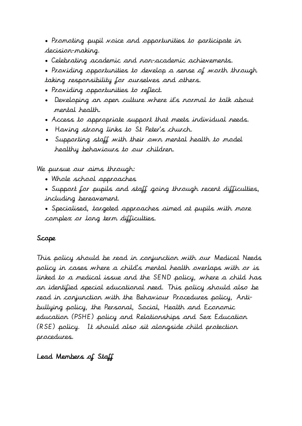Promoting pupil voice and opportunities to participate in decision-making.

- Celebrating academic and non-academic achievements.
- Providing opportunities to develop a sense of worth through taking responsibility for ourselves and others.
- Providing opportunities to reflect.
- Developing an open culture where it's normal to talk about mental health.
- Access to appropriate support that meets individual needs.
- Having strong links to St Peter's church.
- Supporting staff with their own mental health to model healthy behaviours to our children.

We pursue our aims through:

- Whole school approaches
- Support for pupils and staff going through recent difficulties, including bereavement.
- Specialised, targeted approaches aimed at pupils with more complex or long term difficulties.

#### Scope

This policy should be read in conjunction with our Medical Needs policy in cases where a child's mental health overlaps with or is linked to a medical issue and the SEND policy, where a child has an identified special educational need. This policy should also be read in conjunction with the Behaviour Procedures policy, Antibullying policy, the Personal, Social, Health and Economic education (PSHE) policy and Relationships and Sex Education (RSE) policy. It should also sit alongside child protection procedures.

#### Lead Members of Staff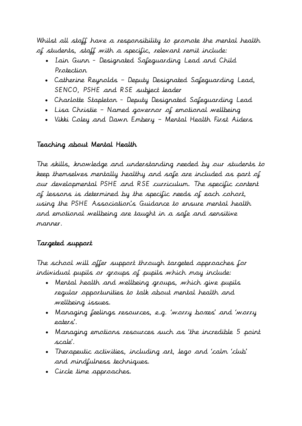Whilst all staff have a responsibility to promote the mental health of students, staff with a specific, relevant remit include:

- Iain Gunn Designated Safeguarding Lead and Child Protection
- Catherine Reynolds Deputy Designated Safeguarding Lead, SENCO, PSHE and RSE subject leader
- Charlotte Stapleton Deputy Designated Safeguarding Lead
- Lisa Christie Named governor of emotional wellbeing
- Vikki Coley and Dawn Embery Mental Health First Aiders

# Teaching about Mental Health

The skills, knowledge and understanding needed by our students to keep themselves mentally healthy and safe are included as part of our developmental PSHE and RSE curriculum. The specific content of lessons is determined by the specific needs of each cohort, using the PSHE Association's Guidance to ensure mental health and emotional wellbeing are taught in a safe and sensitive manner.

# Targeted support

The school will offer support through targeted approaches for individual pupils or groups of pupils which may include:

- Mental health and wellbeing groups, which give pupils regular opportunities to talk about mental health and wellbeing issues.
- Managing feelings resources, e.g. 'worry boxes' and 'worry eaters'.
- Managing emotions resources such as 'the incredible 5 point scale'.
- Therapeutic activities, including art, lego and 'calm 'club' and mindfulness techniques.
- Circle time approaches.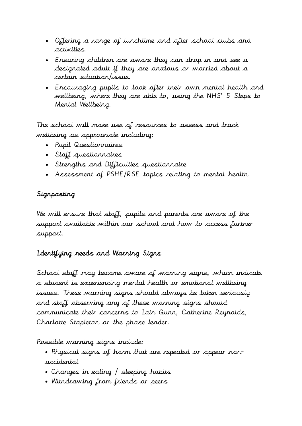- Offering a range of lunchtime and after school clubs and activities.
- Ensuring children are aware they can drop in and see a designated adult if they are anxious or worried about a certain situation/issue.
- Encouraging pupils to [look after their own mental health and](https://www.annafreud.org/on-my-mind/self-care/)  [wellbeing,](https://www.annafreud.org/on-my-mind/self-care/) where they are able to, using the NHS' 5 Steps to Mental Wellbeing.

The school will make use of resources to assess and track wellbeing as appropriate including:

- Pupil Questionnaires
- Staff questionnaires
- Strengths and Difficulties questionnaire
- Assessment of PSHE/RSE topics relating to mental health

# Signposting

We will ensure that staff, pupils and parents are aware of the support available within our school and how to access further support.

# Identifying needs and Warning Signs

School staff may become aware of warning signs, which indicate a student is experiencing mental health or emotional wellbeing issues. These warning signs should always be taken seriously and staff observing any of these warning signs should communicate their concerns to Iain Gunn, Catherine Reynolds, Charlotte Stapleton or the phase leader.

Possible warning signs include:

- Physical signs of harm that are repeated or appear nonaccidental
- Changes in eating / sleeping habits
- Withdrawing from friends or peers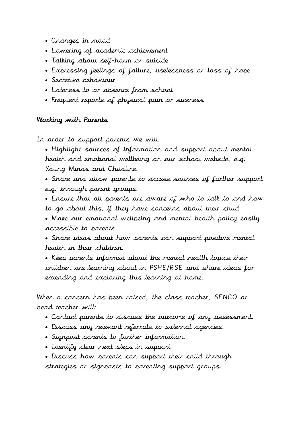- Changes in mood
- Lowering of academic achievement
- Talking about self-harm or suicide
- Expressing feelings of failure, uselessness or loss of hope
- Secretive behaviour
- Lateness to or absence from school
- Frequent reports of physical pain or sickness

#### Working with Parents

In order to support parents we will:

 Highlight sources of information and support about mental health and emotional wellbeing on our school website, e.g. Young Minds and Childline.

 Share and allow parents to access sources of further support e.g. through parent groups.

 Ensure that all parents are aware of who to talk to and how to go about this, if they have concerns about their child.

 Make our emotional wellbeing and mental health policy easily accessible to parents.

 Share ideas about how parents can support positive mental health in their children.

• Keep parents informed about the mental health topics their children are learning about in PSHE/RSE and share ideas for extending and exploring this learning at home.

When a concern has been raised, the class teacher, SENCO or head teacher will:

- Contact parents to discuss the outcome of any assessment.
- Discuss any relevant referrals to external agencies.
- Signpost parents to further information.
- Identify clear next steps in support.
- Discuss how parents can support their child through strategies or signposts to parenting support groups.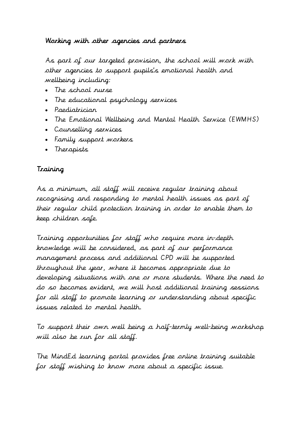## Working with other agencies and partners

As part of our targeted provision, the school will work with other agencies to support pupils's emotional health and wellbeing including:

- The school nurse
- The educational psychology services
- Paediatrician
- The Emotional Wellbeing and Mental Health Service (EWMHS)
- Counselling services
- Family support workers
- Therapists

## Training

As a minimum, all staff will receive regular training about recognising and responding to mental health issues as part of their regular child protection training in order to enable them to keep children safe.

Training opportunities for staff who require more in-depth knowledge will be considered, as part of our performance management process and additional CPD will be supported throughout the year, where it becomes appropriate due to developing situations with one or more students. Where the need to do so becomes evident, we will host additional training sessions for all staff to promote learning or understanding about specific issues related to mental health.

To support their own well being a half-termly well-being workshop will also be run for all staff.

The MindEd learning portal provides free online training suitable for staff wishing to know more about a specific issue.